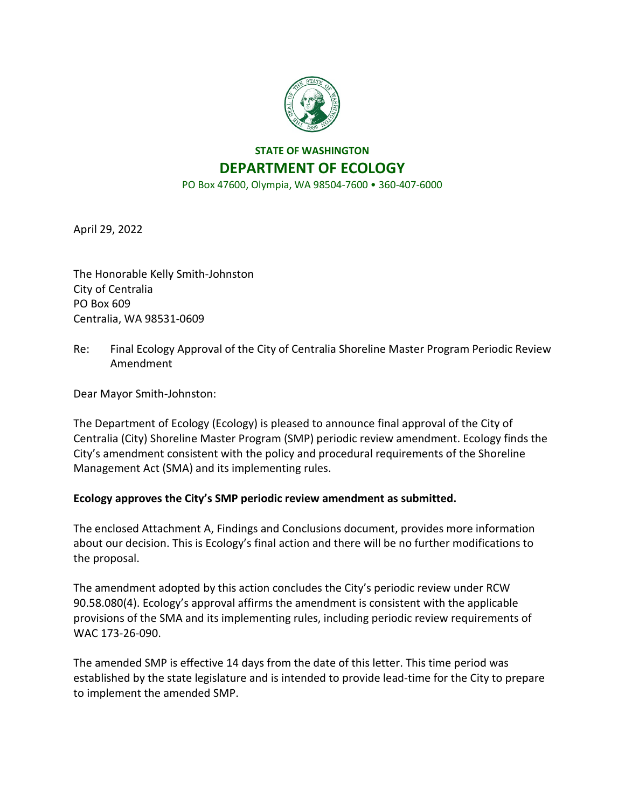

## **STATE OF WASHINGTON DEPARTMENT OF ECOLOGY**

PO Box 47600, Olympia, WA 98504-7600 • 360-407-6000

April 29, 2022

The Honorable Kelly Smith-Johnston City of Centralia PO Box 609 Centralia, WA 98531-0609

Re: Final Ecology Approval of the City of Centralia Shoreline Master Program Periodic Review Amendment

Dear Mayor Smith-Johnston:

The Department of Ecology (Ecology) is pleased to announce final approval of the City of Centralia (City) Shoreline Master Program (SMP) periodic review amendment. Ecology finds the City's amendment consistent with the policy and procedural requirements of the Shoreline Management Act (SMA) and its implementing rules.

## **Ecology approves the City's SMP periodic review amendment as submitted.**

The enclosed Attachment A, Findings and Conclusions document, provides more information about our decision. This is Ecology's final action and there will be no further modifications to the proposal.

The amendment adopted by this action concludes the City's periodic review under RCW 90.58.080(4). Ecology's approval affirms the amendment is consistent with the applicable provisions of the SMA and its implementing rules, including periodic review requirements of WAC 173-26-090.

The amended SMP is effective 14 days from the date of this letter. This time period was established by the state legislature and is intended to provide lead-time for the City to prepare to implement the amended SMP.